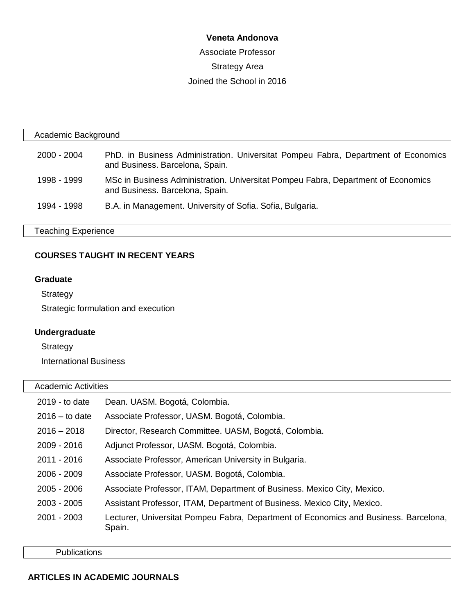### **Veneta Andonova**

Associate Professor Strategy Area Joined the School in 2016

| Academic Background        |                                                                                                                       |  |
|----------------------------|-----------------------------------------------------------------------------------------------------------------------|--|
| 2000 - 2004                | PhD. in Business Administration. Universitat Pompeu Fabra, Department of Economics<br>and Business. Barcelona, Spain. |  |
| 1998 - 1999                | MSc in Business Administration. Universitat Pompeu Fabra, Department of Economics<br>and Business. Barcelona, Spain.  |  |
| 1994 - 1998                | B.A. in Management. University of Sofia. Sofia, Bulgaria.                                                             |  |
| <b>Teaching Experience</b> |                                                                                                                       |  |

## **COURSES TAUGHT IN RECENT YEARS**

#### **Graduate**

**Strategy** 

Strategic formulation and execution

# **Undergraduate**

**Strategy** 

International Business

# Academic Activities

| 2019 - to date   | Dean. UASM. Bogotá, Colombia.                                                                  |
|------------------|------------------------------------------------------------------------------------------------|
| $2016 -$ to date | Associate Professor, UASM. Bogotá, Colombia.                                                   |
| $2016 - 2018$    | Director, Research Committee. UASM, Bogotá, Colombia.                                          |
| $2009 - 2016$    | Adjunct Professor, UASM. Bogotá, Colombia.                                                     |
| 2011 - 2016      | Associate Professor, American University in Bulgaria.                                          |
| $2006 - 2009$    | Associate Professor, UASM. Bogotá, Colombia.                                                   |
| $2005 - 2006$    | Associate Professor, ITAM, Department of Business. Mexico City, Mexico.                        |
| $2003 - 2005$    | Assistant Professor, ITAM, Department of Business. Mexico City, Mexico.                        |
| 2001 - 2003      | Lecturer, Universitat Pompeu Fabra, Department of Economics and Business. Barcelona,<br>Spain. |

**Publications**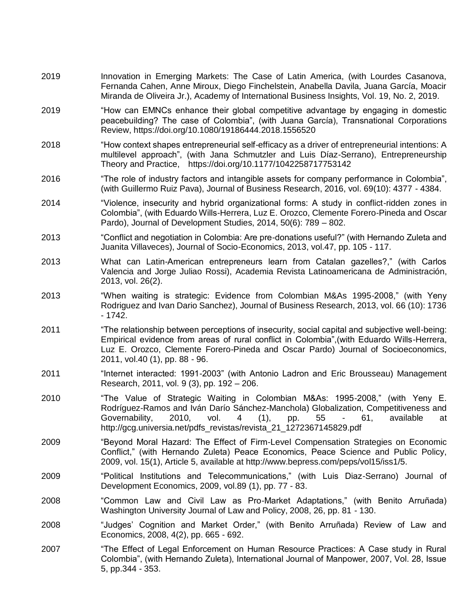- 2019 Innovation in Emerging Markets: The Case of Latin America, (with Lourdes Casanova, Fernanda Cahen, Anne Miroux, Diego Finchelstein, Anabella Davila, Juana García, Moacir Miranda de Oliveira Jr.), Academy of International Business Insights, Vol. 19, No. 2, 2019.
- 2019 "How can EMNCs enhance their global competitive advantage by engaging in domestic peacebuilding? The case of Colombia", (with Juana García), Transnational Corporations Review,<https://doi.org/10.1080/19186444.2018.1556520>
- 2018 "How context shapes entrepreneurial self-efficacy as a driver of entrepreneurial intentions: A multilevel approach", (with Jana Schmutzler and Luis Díaz-Serrano), Entrepreneurship Theory and Practice, [https://doi.org/10.1177/1042258717753142](https://doi.org/10.1177%2F1042258717753142)
- 2016 "The role of industry factors and intangible assets for company performance in Colombia", (with Guillermo Ruiz Pava), Journal of Business Research, 2016, vol. 69(10): 4377 - 4384.
- 2014 "Violence, insecurity and hybrid organizational forms: A study in conflict-ridden zones in Colombia", (with Eduardo Wills-Herrera, Luz E. Orozco, Clemente Forero-Pineda and Oscar Pardo), Journal of Development Studies, 2014, 50(6): 789 – 802.
- 2013 "Conflict and negotiation in Colombia: Are pre-donations useful?" (with Hernando Zuleta and Juanita Villaveces), Journal of Socio-Economics, 2013, vol.47, pp. 105 - 117.
- 2013 What can Latin-American entrepreneurs learn from Catalan gazelles?," (with Carlos Valencia and Jorge Juliao Rossi), Academia Revista Latinoamericana de Administración, 2013, vol. 26(2).
- 2013 "When waiting is strategic: Evidence from Colombian M&As 1995-2008," (with Yeny Rodriguez and Ivan Dario Sanchez), Journal of Business Research, 2013, vol. 66 (10): 1736 - 1742.
- 2011 "The relationship between perceptions of insecurity, social capital and subjective well-being: Empirical evidence from areas of rural conflict in Colombia",(with Eduardo Wills-Herrera, Luz E. Orozco, Clemente Forero-Pineda and Oscar Pardo) Journal of Socioeconomics, 2011, vol.40 (1), pp. 88 - 96.
- 2011 "Internet interacted: 1991-2003" (with Antonio Ladron and Eric Brousseau) Management Research, 2011, vol. 9 (3), pp. 192 – 206.
- 2010 "The Value of Strategic Waiting in Colombian M&As: 1995-2008," (with Yeny E. Rodríguez-Ramos and Iván Darío Sánchez-Manchola) Globalization, Competitiveness and Governability, 2010, vol. 4 (1), pp. 55 - 61, available at http://gcg.universia.net/pdfs\_revistas/revista\_21\_1272367145829.pdf
- 2009 "Beyond Moral Hazard: The Effect of Firm-Level Compensation Strategies on Economic Conflict," (with Hernando Zuleta) Peace Economics, Peace Science and Public Policy, 2009, vol. 15(1), Article 5, available at http://www.bepress.com/peps/vol15/iss1/5.
- 2009 "Political Institutions and Telecommunications," (with Luis Diaz-Serrano) Journal of Development Economics, 2009, vol.89 (1), pp. 77 - 83.
- 2008 "Common Law and Civil Law as Pro-Market Adaptations," (with Benito Arruñada) Washington University Journal of Law and Policy, 2008, 26, pp. 81 - 130.
- 2008 "Judges' Cognition and Market Order," (with Benito Arruñada) Review of Law and Economics, 2008, 4(2), pp. 665 - 692.
- 2007 "The Effect of Legal Enforcement on Human Resource Practices: A Case study in Rural Colombia", (with Hernando Zuleta), International Journal of Manpower, 2007, Vol. 28, Issue 5, pp.344 - 353.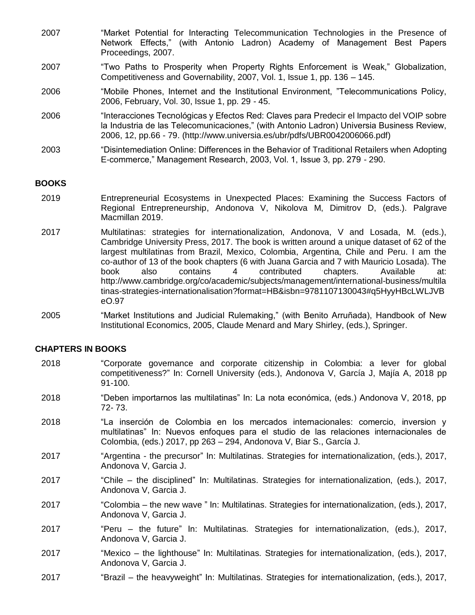- 2007 "Market Potential for Interacting Telecommunication Technologies in the Presence of Network Effects," (with Antonio Ladron) Academy of Management Best Papers Proceedings, 2007.
- 2007 "Two Paths to Prosperity when Property Rights Enforcement is Weak," Globalization, Competitiveness and Governability, 2007, Vol. 1, Issue 1, pp. 136 – 145.
- 2006 "Mobile Phones, Internet and the Institutional Environment, "Telecommunications Policy, 2006, February, Vol. 30, Issue 1, pp. 29 - 45.
- 2006 "Interacciones Tecnológicas y Efectos Red: Claves para Predecir el Impacto del VOIP sobre la Industria de las Telecomunicaciones," (with Antonio Ladron) Universia Business Review, 2006, 12, pp.66 - 79. (http://www.universia.es/ubr/pdfs/UBR0042006066.pdf)
- 2003 "Disintemediation Online: Differences in the Behavior of Traditional Retailers when Adopting E-commerce," Management Research, 2003, Vol. 1, Issue 3, pp. 279 - 290.

### **BOOKS**

- 2019 Entrepreneurial Ecosystems in Unexpected Places: Examining the Success Factors of Regional Entrepreneurship, Andonova V, Nikolova M, Dimitrov D, (eds.). Palgrave Macmillan 2019.
- 2017 Multilatinas: strategies for internationalization, Andonova, V and Losada, M. (eds.), Cambridge University Press, 2017. The book is written around a unique dataset of 62 of the largest multilatinas from Brazil, Mexico, Colombia, Argentina, Chile and Peru. I am the co-author of 13 of the book chapters (6 with Juana Garcia and 7 with Mauricio Losada). The book also contains 4 contributed chapters. Available at: [http://www.cambridge.org/co/academic/subjects/management/international-business/multila](http://www.cambridge.org/co/academic/subjects/management/international-business/multilatinas-strategies-internationalisation?format=HB&isbn=9781107130043#q5HyyHBcLWLJVBeO.97) [tinas-strategies-internationalisation?format=HB&isbn=9781107130043#q5HyyHBcLWLJVB](http://www.cambridge.org/co/academic/subjects/management/international-business/multilatinas-strategies-internationalisation?format=HB&isbn=9781107130043#q5HyyHBcLWLJVBeO.97) [eO.97](http://www.cambridge.org/co/academic/subjects/management/international-business/multilatinas-strategies-internationalisation?format=HB&isbn=9781107130043#q5HyyHBcLWLJVBeO.97)
- 2005 "Market Institutions and Judicial Rulemaking," (with Benito Arruñada), Handbook of New Institutional Economics, 2005, Claude Menard and Mary Shirley, (eds.), Springer.

#### **CHAPTERS IN BOOKS**

- 2018 "Corporate governance and corporate citizenship in Colombia: a lever for global competitiveness?" In: Cornell University (eds.), Andonova V, García J, Majía A, 2018 pp 91-100.
- 2018 "Deben importarnos las multilatinas" In: La nota económica, (eds.) Andonova V, 2018, pp 72- 73.
- 2018 "La inserción de Colombia en los mercados internacionales: comercio, inversion y multilatinas" In: Nuevos enfoques para el studio de las relaciones internacionales de Colombia, (eds.) 2017, pp 263 – 294, Andonova V, Biar S., García J.
- 2017 "Argentina the precursor" In: Multilatinas. Strategies for internationalization, (eds.), 2017, Andonova V, Garcia J.
- 2017 "Chile the disciplined" In: Multilatinas. Strategies for internationalization, (eds.), 2017, Andonova V, Garcia J.
- 2017 "Colombia the new wave " In: Multilatinas. Strategies for internationalization, (eds.), 2017, Andonova V, Garcia J.
- 2017 "Peru the future" In: Multilatinas. Strategies for internationalization, (eds.), 2017, Andonova V, Garcia J.
- 2017 "Mexico the lighthouse" In: Multilatinas. Strategies for internationalization, (eds.), 2017, Andonova V, Garcia J.
- 2017 "Brazil the heavyweight" In: Multilatinas. Strategies for internationalization, (eds.), 2017,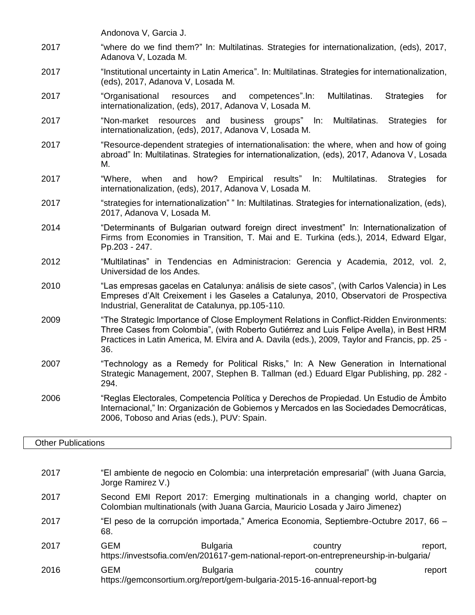Andonova V, Garcia J.

- 2017 "where do we find them?" In: Multilatinas. Strategies for internationalization, (eds), 2017, Adanova V, Lozada M.
- 2017 "Institutional uncertainty in Latin America". In: Multilatinas. Strategies for internationalization, (eds), 2017, Adanova V, Losada M.
- 2017 "Organisational resources and competences".In: Multilatinas. Strategies for internationalization, (eds), 2017, Adanova V, Losada M.
- 2017 "Non-market resources and business groups" In: Multilatinas. Strategies for internationalization, (eds), 2017, Adanova V, Losada M.
- 2017 "Resource-dependent strategies of internationalisation: the where, when and how of going abroad" In: Multilatinas. Strategies for internationalization, (eds), 2017, Adanova V, Losada M.
- 2017 "Where, when and how? Empirical results" In: Multilatinas. Strategies for internationalization, (eds), 2017, Adanova V, Losada M.
- 2017 "strategies for internationalization" " In: Multilatinas. Strategies for internationalization, (eds), 2017, Adanova V, Losada M.
- 2014 "Determinants of Bulgarian outward foreign direct investment" In: Internationalization of Firms from Economies in Transition, T. Mai and E. Turkina (eds.), 2014, Edward Elgar, Pp.203 - 247.
- 2012 "Multilatinas" in Tendencias en Administracion: Gerencia y Academia, 2012, vol. 2, Universidad de los Andes.
- 2010 "Las empresas gacelas en Catalunya: análisis de siete casos", (with Carlos Valencia) in Les Empreses d'Alt Creixement i les Gaseles a Catalunya, 2010, Observatori de Prospectiva Industrial, Generalitat de Catalunya, pp.105-110.
- 2009 "The Strategic Importance of Close Employment Relations in Conflict-Ridden Environments: Three Cases from Colombia", (with Roberto Gutiérrez and Luis Felipe Avella), in Best HRM Practices in Latin America, M. Elvira and A. Davila (eds.), 2009, Taylor and Francis, pp. 25 - 36.
- 2007 "Technology as a Remedy for Political Risks," In: A New Generation in International Strategic Management, 2007, Stephen B. Tallman (ed.) Eduard Elgar Publishing, pp. 282 - 294.
- 2006 "Reglas Electorales, Competencia Política y Derechos de Propiedad. Un Estudio de Ámbito Internacional," In: Organización de Gobiernos y Mercados en las Sociedades Democráticas, 2006, Toboso and Arias (eds.), PUV: Spain.

### Other Publications

2017 "El ambiente de negocio en Colombia: una interpretación empresarial" (with Juana Garcia, Jorge Ramirez V.) 2017 Second EMI Report 2017: Emerging multinationals in a changing world, chapter on Colombian multinationals (with Juana Garcia, Mauricio Losada y Jairo Jimenez) 2017 "El peso de la corrupción importada," America Economia, Septiembre-Octubre 2017, 66 – 68. 2017 GEM Bulgaria country country report, https://investsofia.com/en/201617-gem-national-report-on-entrepreneurship-in-bulgaria/ 2016 GEM Bulgaria country report https://gemconsortium.org/report/gem-bulgaria-2015-16-annual-report-bg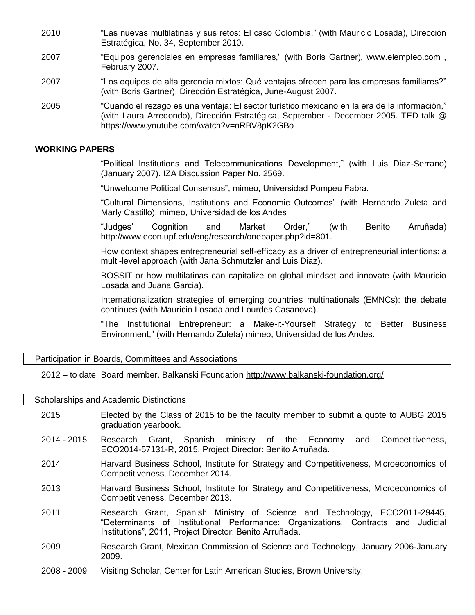- 2010 "Las nuevas multilatinas y sus retos: El caso Colombia," (with Mauricio Losada), Dirección Estratégica, No. 34, September 2010.
- 2007 "Equipos gerenciales en empresas familiares," (with Boris Gartner), www.elempleo.com , February 2007.
- 2007 "Los equipos de alta gerencia mixtos: Qué ventajas ofrecen para las empresas familiares?" (with Boris Gartner), Dirección Estratégica, June-August 2007.
- 2005 "Cuando el rezago es una ventaja: El sector turístico mexicano en la era de la información," (with Laura Arredondo), Dirección Estratégica, September - December 2005. TED talk @ https://www.youtube.com/watch?v=oRBV8pK2GBo

#### **WORKING PAPERS**

"Political Institutions and Telecommunications Development," (with Luis Diaz-Serrano) (January 2007). IZA Discussion Paper No. 2569.

"Unwelcome Political Consensus", mimeo, Universidad Pompeu Fabra.

"Cultural Dimensions, Institutions and Economic Outcomes" (with Hernando Zuleta and Marly Castillo), mimeo, Universidad de los Andes

"Judges' Cognition and Market Order," (with Benito Arruñada) http://www.econ.upf.edu/eng/research/onepaper.php?id=801.

How context shapes entrepreneurial self-efficacy as a driver of entrepreneurial intentions: a multi-level approach (with Jana Schmutzler and Luis Diaz).

BOSSIT or how multilatinas can capitalize on global mindset and innovate (with Mauricio Losada and Juana Garcia).

Internationalization strategies of emerging countries multinationals (EMNCs): the debate continues (with Mauricio Losada and Lourdes Casanova).

"The Institutional Entrepreneur: a Make-it-Yourself Strategy to Better Business Environment," (with Hernando Zuleta) mimeo, Universidad de los Andes.

Participation in Boards, Committees and Associations

2012 – to date Board member. Balkanski Foundation<http://www.balkanski-foundation.org/>

Scholarships and Academic Distinctions

- 2015 Elected by the Class of 2015 to be the faculty member to submit a quote to AUBG 2015 graduation yearbook.
- 2014 2015 Research Grant, Spanish ministry of the Economy and Competitiveness, ECO2014-57131-R, 2015, Project Director: Benito Arruñada.
- 2014 Harvard Business School, Institute for Strategy and Competitiveness, Microeconomics of Competitiveness, December 2014.
- 2013 Harvard Business School, Institute for Strategy and Competitiveness, Microeconomics of Competitiveness, December 2013.
- 2011 Research Grant, Spanish Ministry of Science and Technology, ECO2011-29445, "Determinants of Institutional Performance: Organizations, Contracts and Judicial Institutions", 2011, Project Director: Benito Arruñada.
- 2009 Research Grant, Mexican Commission of Science and Technology, January 2006-January 2009.
- 2008 2009 Visiting Scholar, Center for Latin American Studies, Brown University.